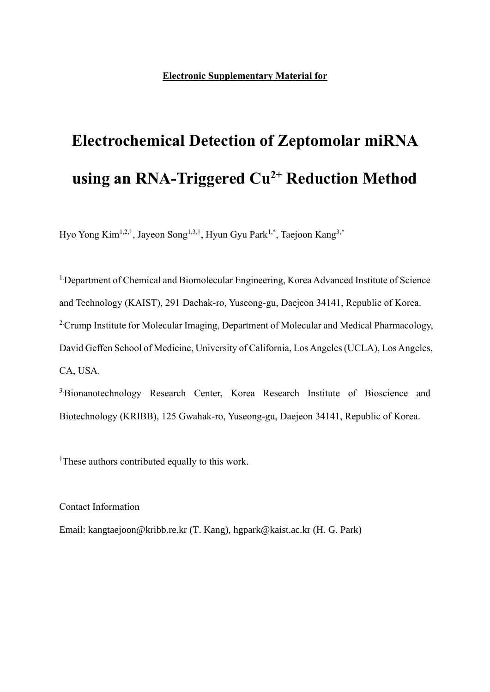## **Electrochemical Detection of Zeptomolar miRNA using an RNA-Triggered Cu2+ Reduction Method**

Hyo Yong Kim<sup>1,2,†</sup>, Jayeon Song<sup>1,3,†</sup>, Hyun Gyu Park<sup>1,\*</sup>, Taejoon Kang<sup>3,\*</sup>

<sup>1</sup>Department of Chemical and Biomolecular Engineering, Korea Advanced Institute of Science and Technology (KAIST), 291 Daehak-ro, Yuseong-gu, Daejeon 34141, Republic of Korea. <sup>2</sup> Crump Institute for Molecular Imaging, Department of Molecular and Medical Pharmacology, David Geffen School of Medicine, University of California, Los Angeles (UCLA), Los Angeles, CA, USA.

3.Bionanotechnology Research Center, Korea Research Institute of Bioscience and Biotechnology (KRIBB), 125 Gwahak-ro, Yuseong-gu, Daejeon 34141, Republic of Korea.

†These authors contributed equally to this work.

Contact Information

Email: kangtaejoon@kribb.re.kr (T. Kang), hgpark@kaist.ac.kr (H. G. Park)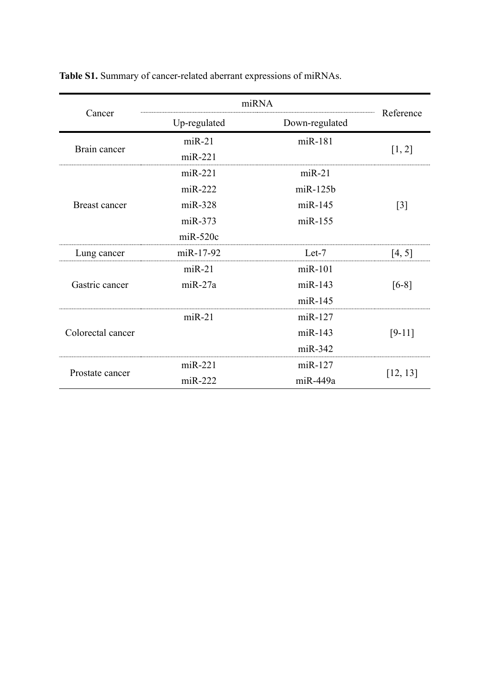| Cancer               | miRNA        |                |           |  |
|----------------------|--------------|----------------|-----------|--|
|                      | Up-regulated | Down-regulated | Reference |  |
| Brain cancer         | $miR-21$     | miR-181        | [1, 2]    |  |
|                      | $miR-221$    |                |           |  |
| <b>Breast cancer</b> | $miR-221$    | $miR-21$       |           |  |
|                      | $miR-222$    | $m$ i $R-125b$ |           |  |
|                      | $miR-328$    | $miR-145$      | $[3]$     |  |
|                      | $miR-373$    | $miR-155$      |           |  |
|                      | $miR-520c$   |                |           |  |
| Lung cancer          | miR-17-92    | $Let-7$        | [4, 5]    |  |
| Gastric cancer       | $miR-21$     | $m$ i $R-101$  |           |  |
|                      | $miR-27a$    | $miR-143$      | $[6-8]$   |  |
|                      |              | $miR-145$      |           |  |
| Colorectal cancer    | $miR-21$     | $miR-127$      |           |  |
|                      |              | $miR-143$      | $[9-11]$  |  |
|                      |              | $miR-342$      |           |  |
| Prostate cancer      | $miR-221$    | $miR-127$      | [12, 13]  |  |
|                      | $miR-222$    | miR-449a       |           |  |

**Table S1.** Summary of cancer-related aberrant expressions of miRNAs.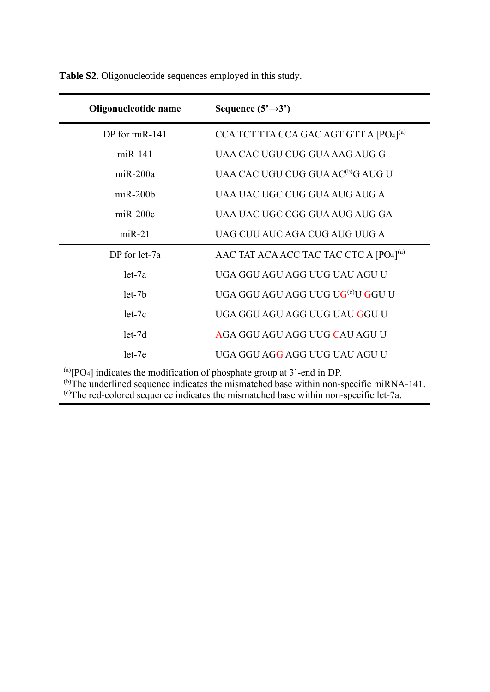| Oligonucleotide name                                                                       | Sequence $(5' \rightarrow 3')$                     |  |  |  |
|--------------------------------------------------------------------------------------------|----------------------------------------------------|--|--|--|
| DP for miR-141                                                                             | CCA TCT TTA CCA GAC AGT GTT A [PO4] <sup>(a)</sup> |  |  |  |
| $miR-141$                                                                                  | UAA CAC UGU CUG GUA AAG AUG G                      |  |  |  |
| $miR-200a$                                                                                 | UAA CAC UGU CUG GUA AC <sup>(b)</sup> G AUG U      |  |  |  |
| $miR-200b$                                                                                 | UAA <u>U</u> AC UGC CUG GUA AUG AUG A              |  |  |  |
| $miR-200c$                                                                                 | UAA UAC UGC CGG GUA AUG AUG GA                     |  |  |  |
| $miR-21$                                                                                   | UAG C <u>UU AUC AGA CUG AUG U</u> UG <u>A</u>      |  |  |  |
| DP for let-7a                                                                              | AAC TAT ACA ACC TAC TAC CTC A [PO4] <sup>(a)</sup> |  |  |  |
| $let-7a$                                                                                   | UGA GGU AGU AGG UUG UAU AGU U                      |  |  |  |
| $let-7b$                                                                                   | UGA GGU AGU AGG UUG UG <sup>(c)</sup> U GGU U      |  |  |  |
| $let-7c$                                                                                   | UGA GGU AGU AGG UUG UAU GGU U                      |  |  |  |
| $let-7d$                                                                                   | AGA GGU AGU AGG UUG CAU AGU U                      |  |  |  |
| $let-7e$                                                                                   | UGA GGU AGG AGG UUG UAU AGU U                      |  |  |  |
| $^{(a)}$ [PO <sub>4</sub> ] indicates the modification of phosphate group at 3'-end in DP. |                                                    |  |  |  |

**Table S2.** Oligonucleotide sequences employed in this study.

 $^{(b)}$ The underlined sequence indicates the mismatched base within non-specific miRNA-141.

 $\epsilon$ )The red-colored sequence indicates the mismatched base within non-specific let-7a.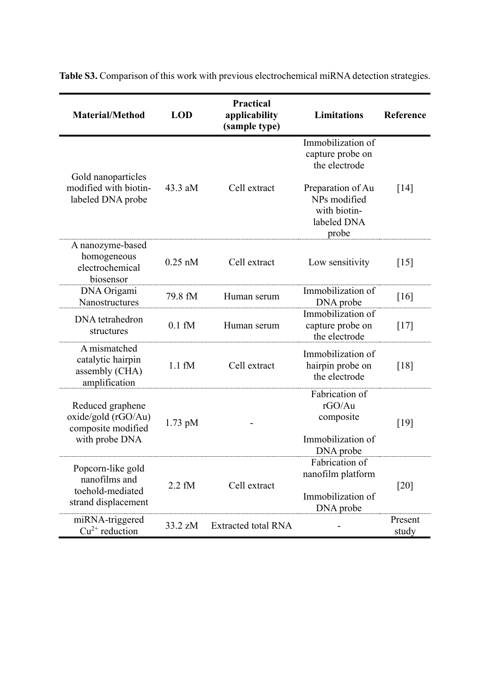| <b>Material/Method</b>                                                          | <b>LOD</b>       | <b>Practical</b><br>applicability<br>(sample type) | <b>Limitations</b>                                                                                                                  | Reference          |
|---------------------------------------------------------------------------------|------------------|----------------------------------------------------|-------------------------------------------------------------------------------------------------------------------------------------|--------------------|
| Gold nanoparticles<br>modified with biotin-<br>labeled DNA probe                | $43.3$ aM        | Cell extract                                       | Immobilization of<br>capture probe on<br>the electrode<br>Preparation of Au<br>NPs modified<br>with biotin-<br>labeled DNA<br>probe | $\lceil 14 \rceil$ |
| A nanozyme-based<br>homogeneous<br>electrochemical<br>biosensor                 | $0.25$ nM        | Cell extract                                       | Low sensitivity                                                                                                                     | $\lceil 15 \rceil$ |
| DNA Origami<br>Nanostructures                                                   | 79.8 fM          | Human serum                                        | Immobilization of<br>DNA probe                                                                                                      | [16]               |
| DNA tetrahedron<br>structures                                                   | $0.1 \text{ fM}$ | Human serum                                        | Immobilization of<br>capture probe on<br>the electrode                                                                              | $[17]$             |
| A mismatched<br>catalytic hairpin<br>assembly (CHA)<br>amplification            | $1.1 \text{ fM}$ | Cell extract                                       | Immobilization of<br>hairpin probe on<br>the electrode                                                                              | [18]               |
| Reduced graphene<br>oxide/gold (rGO/Au)<br>composite modified<br>with probe DNA | $1.73$ pM        |                                                    | Fabrication of<br>rGO/Au<br>composite<br>Immobilization of<br>DNA probe                                                             | [19]               |
| Popcorn-like gold<br>nanofilms and<br>toehold-mediated<br>strand displacement   | $2.2 \text{ fM}$ | Cell extract                                       | Fabrication of<br>nanofilm platform<br>Immobilization of<br>DNA probe                                                               | [20]               |
| miRNA-triggered<br>$Cu^{2+}$ reduction                                          | 33.2 zM          | <b>Extracted total RNA</b>                         |                                                                                                                                     | Present<br>study   |

**Table S3.** Comparison of this work with previous electrochemical miRNA detection strategies.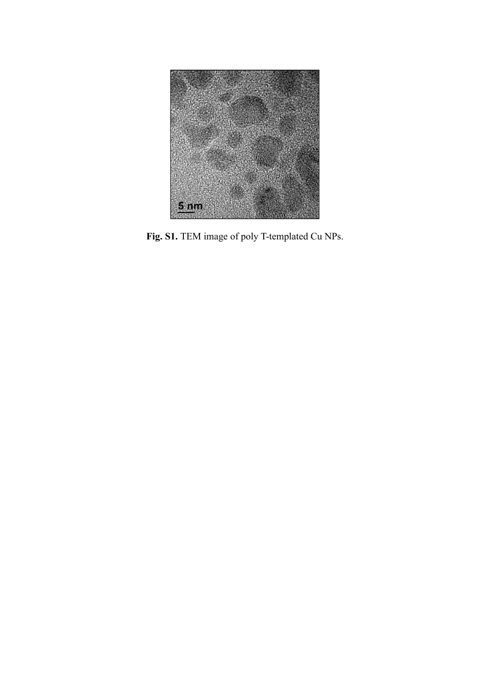

**Fig. S1.** TEM image of poly T-templated Cu NPs.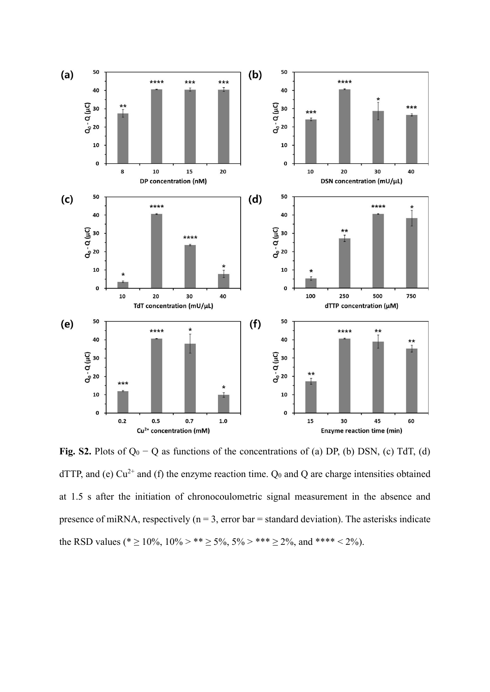

**Fig. S2.** Plots of Q<sup>0</sup> − Q as functions of the concentrations of (a) DP, (b) DSN, (c) TdT, (d) dTTP, and (e)  $Cu^{2+}$  and (f) the enzyme reaction time.  $Q_0$  and Q are charge intensities obtained at 1.5 s after the initiation of chronocoulometric signal measurement in the absence and presence of miRNA, respectively ( $n = 3$ , error bar = standard deviation). The asterisks indicate the RSD values (\* ≥ 10%, 10% > \*\* ≥ 5%, 5% > \*\*\* ≥ 2%, and \*\*\*\* < 2%).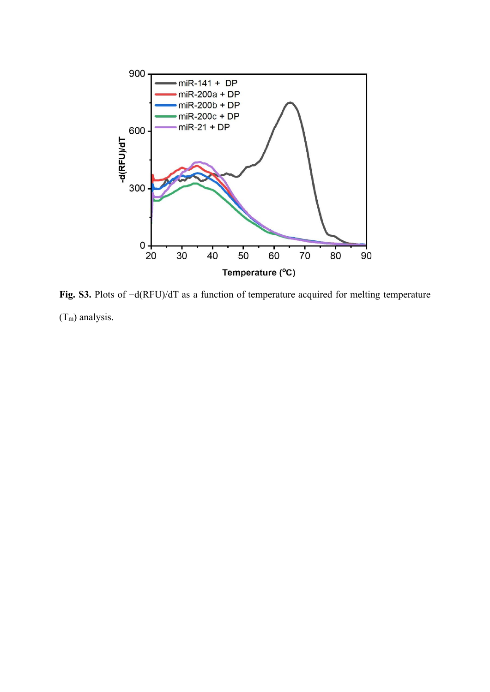

**Fig. S3.** Plots of −d(RFU)/dT as a function of temperature acquired for melting temperature (Tm) analysis.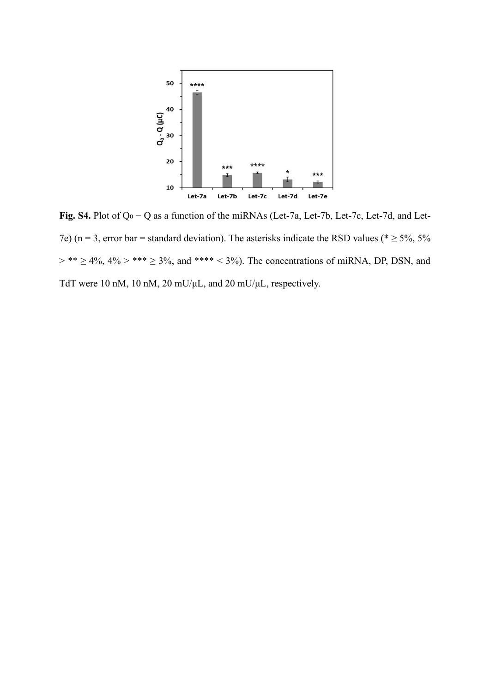

**Fig. S4.** Plot of Q<sup>0</sup> − Q as a function of the miRNAs (Let-7a, Let-7b, Let-7c, Let-7d, and Let-7e) (n = 3, error bar = standard deviation). The asterisks indicate the RSD values ( $* \ge 5\%$ , 5%  $>$  \*\*  $\ge$  4%, 4%  $>$  \*\*\*  $\ge$  3%, and \*\*\*\* < 3%). The concentrations of miRNA, DP, DSN, and TdT were 10 nM, 10 nM, 20 mU/μL, and 20 mU/μL, respectively.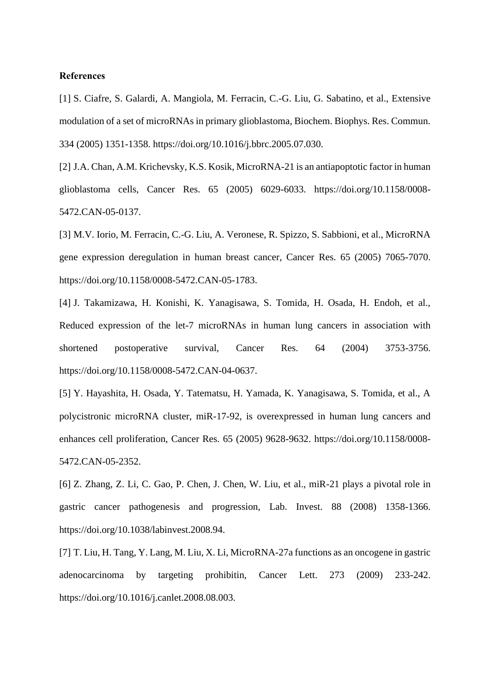## **References**

[1] S. Ciafre, S. Galardi, A. Mangiola, M. Ferracin, C.-G. Liu, G. Sabatino, et al., Extensive modulation of a set of microRNAs in primary glioblastoma, Biochem. Biophys. Res. Commun. 334 (2005) 1351-1358. https://doi.org/10.1016/j.bbrc.2005.07.030.

[2] J.A. Chan, A.M. Krichevsky, K.S. Kosik, MicroRNA-21 is an antiapoptotic factor in human glioblastoma cells, Cancer Res. 65 (2005) 6029-6033. https://doi.org/10.1158/0008- 5472.CAN-05-0137.

[3] M.V. Iorio, M. Ferracin, C.-G. Liu, A. Veronese, R. Spizzo, S. Sabbioni, et al., MicroRNA gene expression deregulation in human breast cancer, Cancer Res. 65 (2005) 7065-7070. https://doi.org/10.1158/0008-5472.CAN-05-1783.

[4] J. Takamizawa, H. Konishi, K. Yanagisawa, S. Tomida, H. Osada, H. Endoh, et al., Reduced expression of the let-7 microRNAs in human lung cancers in association with shortened postoperative survival, Cancer Res. 64 (2004) 3753-3756. https://doi.org/10.1158/0008-5472.CAN-04-0637.

[5] Y. Hayashita, H. Osada, Y. Tatematsu, H. Yamada, K. Yanagisawa, S. Tomida, et al., A polycistronic microRNA cluster, miR-17-92, is overexpressed in human lung cancers and enhances cell proliferation, Cancer Res. 65 (2005) 9628-9632. https://doi.org/10.1158/0008- 5472.CAN-05-2352.

[6] Z. Zhang, Z. Li, C. Gao, P. Chen, J. Chen, W. Liu, et al., miR-21 plays a pivotal role in gastric cancer pathogenesis and progression, Lab. Invest. 88 (2008) 1358-1366. https://doi.org/10.1038/labinvest.2008.94.

[7] T. Liu, H. Tang, Y. Lang, M. Liu, X. Li, MicroRNA-27a functions as an oncogene in gastric adenocarcinoma by targeting prohibitin, Cancer Lett. 273 (2009) 233-242. https://doi.org/10.1016/j.canlet.2008.08.003.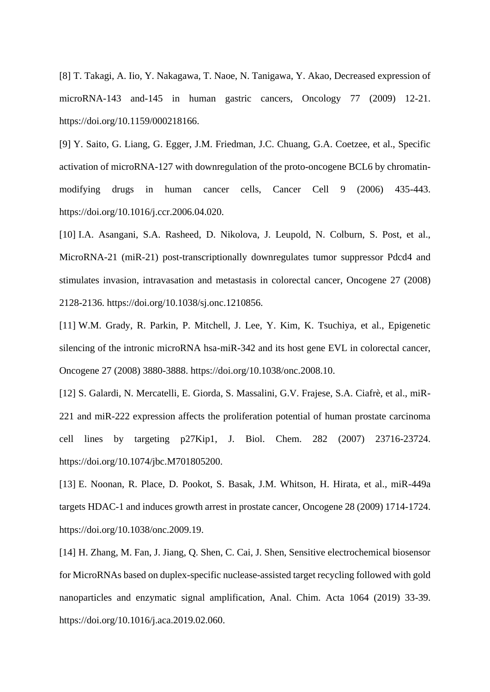[8] T. Takagi, A. Iio, Y. Nakagawa, T. Naoe, N. Tanigawa, Y. Akao, Decreased expression of microRNA-143 and-145 in human gastric cancers, Oncology 77 (2009) 12-21. https://doi.org/10.1159/000218166.

[9] Y. Saito, G. Liang, G. Egger, J.M. Friedman, J.C. Chuang, G.A. Coetzee, et al., Specific activation of microRNA-127 with downregulation of the proto-oncogene BCL6 by chromatinmodifying drugs in human cancer cells, Cancer Cell 9 (2006) 435-443. https://doi.org/10.1016/j.ccr.2006.04.020.

[10] I.A. Asangani, S.A. Rasheed, D. Nikolova, J. Leupold, N. Colburn, S. Post, et al., MicroRNA-21 (miR-21) post-transcriptionally downregulates tumor suppressor Pdcd4 and stimulates invasion, intravasation and metastasis in colorectal cancer, Oncogene 27 (2008) 2128-2136. https://doi.org/10.1038/sj.onc.1210856.

[11] W.M. Grady, R. Parkin, P. Mitchell, J. Lee, Y. Kim, K. Tsuchiya, et al., Epigenetic silencing of the intronic microRNA hsa-miR-342 and its host gene EVL in colorectal cancer, Oncogene 27 (2008) 3880-3888. https://doi.org/10.1038/onc.2008.10.

[12] S. Galardi, N. Mercatelli, E. Giorda, S. Massalini, G.V. Frajese, S.A. Ciafrè, et al., miR-221 and miR-222 expression affects the proliferation potential of human prostate carcinoma cell lines by targeting p27Kip1, J. Biol. Chem. 282 (2007) 23716-23724. https://doi.org/10.1074/jbc.M701805200.

[13] E. Noonan, R. Place, D. Pookot, S. Basak, J.M. Whitson, H. Hirata, et al., miR-449a targets HDAC-1 and induces growth arrest in prostate cancer, Oncogene 28 (2009) 1714-1724. https://doi.org/10.1038/onc.2009.19.

[14] H. Zhang, M. Fan, J. Jiang, Q. Shen, C. Cai, J. Shen, Sensitive electrochemical biosensor for MicroRNAs based on duplex-specific nuclease-assisted target recycling followed with gold nanoparticles and enzymatic signal amplification, Anal. Chim. Acta 1064 (2019) 33-39. https://doi.org/10.1016/j.aca.2019.02.060.